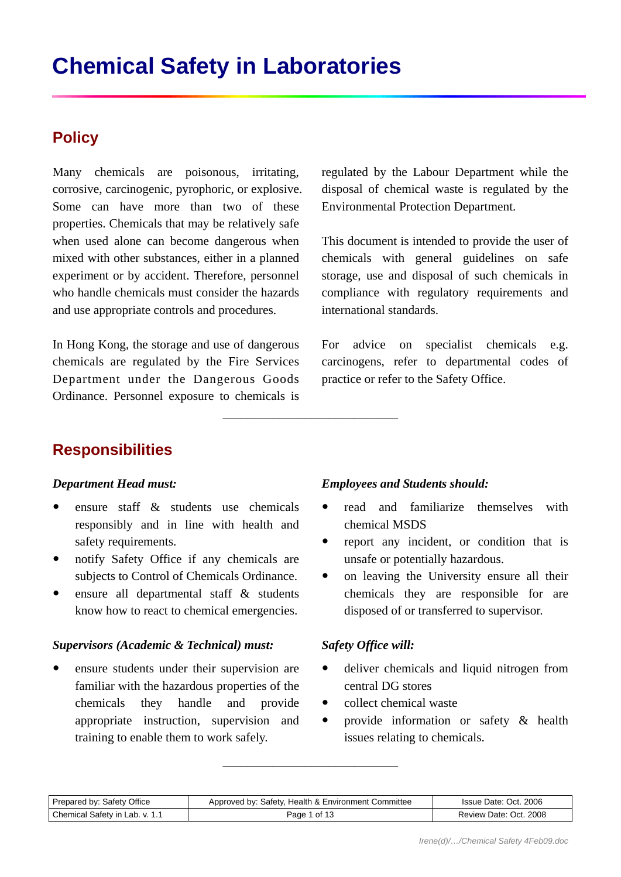# **Policy**

Many chemicals are poisonous, irritating, corrosive, carcinogenic, pyrophoric, or explosive. Some can have more than two of these properties. Chemicals that may be relatively safe when used alone can become dangerous when mixed with other substances, either in a planned experiment or by accident. Therefore, personnel who handle chemicals must consider the hazards and use appropriate controls and procedures.

In Hong Kong, the storage and use of dangerous chemicals are regulated by the Fire Services Department under the Dangerous Goods Ordinance. Personnel exposure to chemicals is regulated by the Labour Department while the disposal of chemical waste is regulated by the Environmental Protection Department.

This document is intended to provide the user of chemicals with general guidelines on safe storage, use and disposal of such chemicals in compliance with regulatory requirements and international standards.

For advice on specialist chemicals e.g. carcinogens, refer to departmental codes of practice or refer to the Safety Office.

# **Responsibilities**

### *Department Head must:*

- y ensure staff & students use chemicals responsibly and in line with health and safety requirements.
- notify Safety Office if any chemicals are subjects to Control of Chemicals Ordinance.
- y ensure all departmental staff & students know how to react to chemical emergencies.

### *Supervisors (Academic & Technical) must:*

y ensure students under their supervision are familiar with the hazardous properties of the chemicals they handle and provide appropriate instruction, supervision and training to enable them to work safely.

### *Employees and Students should:*

- read and familiarize themselves with chemical MSDS
- report any incident, or condition that is unsafe or potentially hazardous.
- on leaving the University ensure all their chemicals they are responsible for are disposed of or transferred to supervisor.

### *Safety Office will:*

- deliver chemicals and liquid nitrogen from central DG stores
- $\bullet$  collect chemical waste
- provide information or safety & health issues relating to chemicals.

| Prepared by: Safety Office     | Approved by: Safety, Health & Environment Committee | Issue Date: Oct. 2006  |
|--------------------------------|-----------------------------------------------------|------------------------|
| Chemical Safety in Lab. v. 1.1 | Page 1 of 13                                        | Review Date: Oct. 2008 |

\_\_\_\_\_\_\_\_\_\_\_\_\_\_\_\_\_\_\_\_\_\_\_\_\_\_\_\_

\_\_\_\_\_\_\_\_\_\_\_\_\_\_\_\_\_\_\_\_\_\_\_\_\_\_\_\_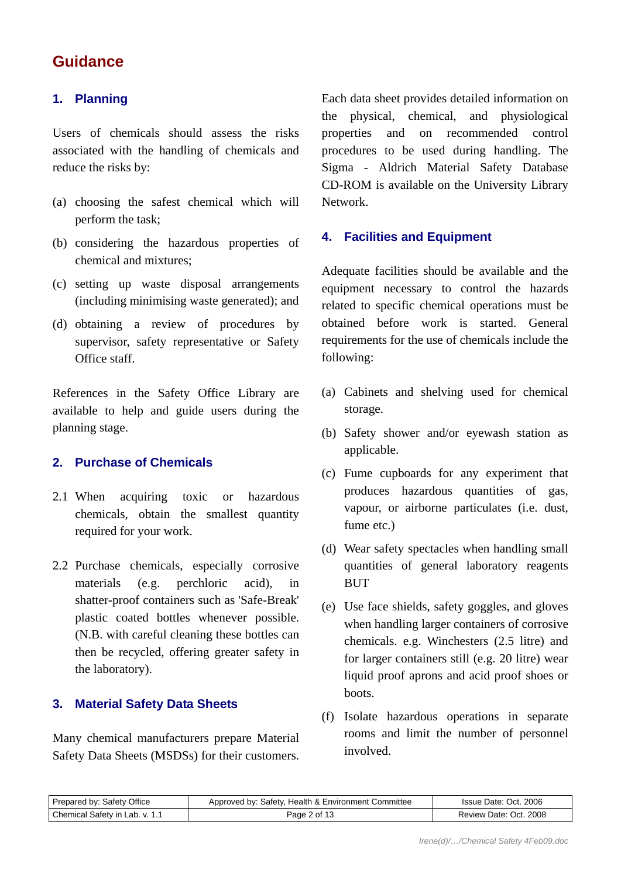# **Guidance**

## **1. Planning**

Users of chemicals should assess the risks associated with the handling of chemicals and reduce the risks by:

- (a) choosing the safest chemical which will perform the task;
- (b) considering the hazardous properties of chemical and mixtures;
- (c) setting up waste disposal arrangements (including minimising waste generated); and
- (d) obtaining a review of procedures by supervisor, safety representative or Safety Office staff.

References in the Safety Office Library are available to help and guide users during the planning stage.

### **2. Purchase of Chemicals**

- 2.1 When acquiring toxic or hazardous chemicals, obtain the smallest quantity required for your work.
- 2.2 Purchase chemicals, especially corrosive materials (e.g. perchloric acid), in shatter-proof containers such as 'Safe-Break' plastic coated bottles whenever possible. (N.B. with careful cleaning these bottles can then be recycled, offering greater safety in the laboratory).

### **3. Material Safety Data Sheets**

Many chemical manufacturers prepare Material Safety Data Sheets (MSDSs) for their customers. Each data sheet provides detailed information on the physical, chemical, and physiological properties and on recommended control procedures to be used during handling. The Sigma - Aldrich Material Safety Database CD-ROM is available on the University Library Network.

### **4. Facilities and Equipment**

Adequate facilities should be available and the equipment necessary to control the hazards related to specific chemical operations must be obtained before work is started. General requirements for the use of chemicals include the following:

- (a) Cabinets and shelving used for chemical storage.
- (b) Safety shower and/or eyewash station as applicable.
- (c) Fume cupboards for any experiment that produces hazardous quantities of gas, vapour, or airborne particulates (i.e. dust, fume etc.)
- (d) Wear safety spectacles when handling small quantities of general laboratory reagents BUT
- (e) Use face shields, safety goggles, and gloves when handling larger containers of corrosive chemicals. e.g. Winchesters (2.5 litre) and for larger containers still (e.g. 20 litre) wear liquid proof aprons and acid proof shoes or boots.
- (f) Isolate hazardous operations in separate rooms and limit the number of personnel involved.

| Prepared by: Safety Office     | Approved by: Safety, Health & Environment Committee | Issue Date: Oct. 2006  |
|--------------------------------|-----------------------------------------------------|------------------------|
| Chemical Safety in Lab. v. 1.1 | Page 2 of 13                                        | Review Date: Oct. 2008 |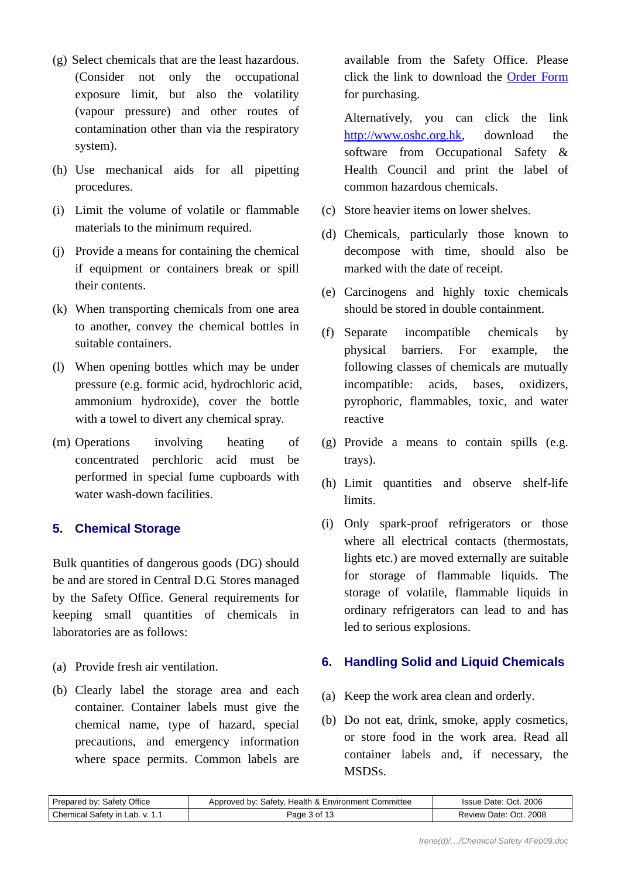- (g) Select chemicals that are the least hazardous. (Consider not only the occupational exposure limit, but also the volatility (vapour pressure) and other routes of contamination other than via the respiratory system).
- (h) Use mechanical aids for all pipetting procedures.
- (i) Limit the volume of volatile or flammable materials to the minimum required.
- (j) Provide a means for containing the chemical if equipment or containers break or spill their contents.
- (k) When transporting chemicals from one area to another, convey the chemical bottles in suitable containers.
- (l) When opening bottles which may be under pressure (e.g. formic acid, hydrochloric acid, ammonium hydroxide), cover the bottle with a towel to divert any chemical spray.
- (m) Operations involving heating of concentrated perchloric acid must be performed in special fume cupboards with water wash-down facilities.

## **5. Chemical Storage**

Bulk quantities of dangerous goods (DG) should be and are stored in Central D.G. Stores managed by the Safety Office. General requirements for keeping small quantities of chemicals in laboratories are as follows:

- (a) Provide fresh air ventilation.
- (b) Clearly label the storage area and each container. Container labels must give the chemical name, type of hazard, special precautions, and emergency information where space permits. Common labels are

available from the Safety Office. Please click the link to download the [Order Form](http://www.hku.hk/safety/pdf/CSLlab.pdf) for purchasing.

 Alternatively, you can click the link [http://www.oshc.org.hk,](http://www.oshc.org.hk/) download the software from Occupational Safety & Health Council and print the label of common hazardous chemicals.

- (c) Store heavier items on lower shelves.
- (d) Chemicals, particularly those known to decompose with time, should also be marked with the date of receipt.
- (e) Carcinogens and highly toxic chemicals should be stored in double containment.
- (f) Separate incompatible chemicals by physical barriers. For example, the following classes of chemicals are mutually incompatible: acids, bases, oxidizers, pyrophoric, flammables, toxic, and water reactive
- (g) Provide a means to contain spills (e.g. trays).
- (h) Limit quantities and observe shelf-life limits.
- (i) Only spark-proof refrigerators or those where all electrical contacts (thermostats, lights etc.) are moved externally are suitable for storage of flammable liquids. The storage of volatile, flammable liquids in ordinary refrigerators can lead to and has led to serious explosions.

## **6. Handling Solid and Liquid Chemicals**

- (a) Keep the work area clean and orderly.
- (b) Do not eat, drink, smoke, apply cosmetics, or store food in the work area. Read all container labels and, if necessary, the MSDSs.

| Prepared by: Safety Office     | Approved by: Safety, Health & Environment Committee | Issue Date: Oct. 2006  |
|--------------------------------|-----------------------------------------------------|------------------------|
| Chemical Safety in Lab. v. 1.1 | Page 3 of 13                                        | Review Date: Oct. 2008 |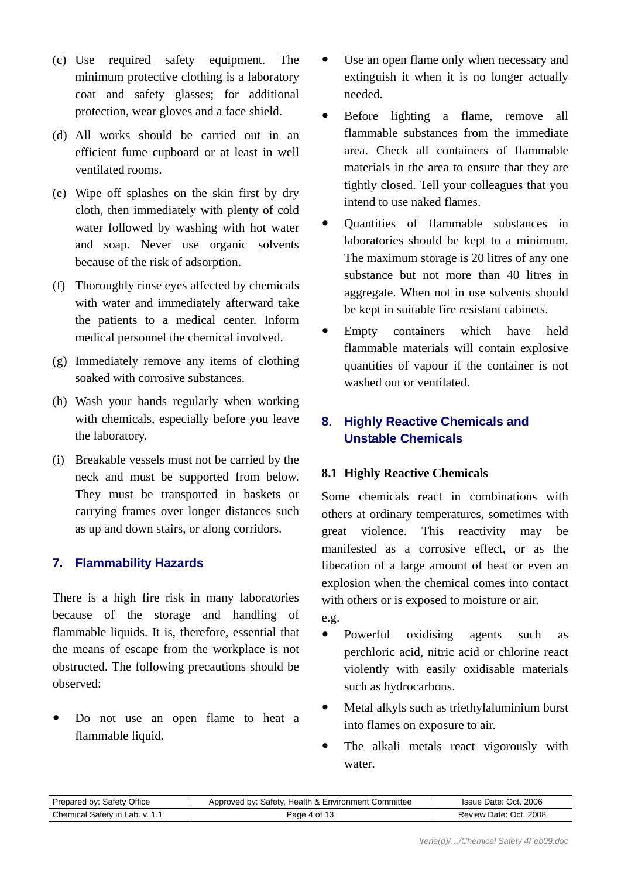- (c) Use required safety equipment. The minimum protective clothing is a laboratory coat and safety glasses; for additional protection, wear gloves and a face shield.
- (d) All works should be carried out in an efficient fume cupboard or at least in well ventilated rooms.
- (e) Wipe off splashes on the skin first by dry cloth, then immediately with plenty of cold water followed by washing with hot water and soap. Never use organic solvents because of the risk of adsorption.
- (f) Thoroughly rinse eyes affected by chemicals with water and immediately afterward take the patients to a medical center. Inform medical personnel the chemical involved.
- (g) Immediately remove any items of clothing soaked with corrosive substances.
- (h) Wash your hands regularly when working with chemicals, especially before you leave the laboratory.
- (i) Breakable vessels must not be carried by the neck and must be supported from below. They must be transported in baskets or carrying frames over longer distances such as up and down stairs, or along corridors.

## **7. Flammability Hazards**

There is a high fire risk in many laboratories because of the storage and handling of flammable liquids. It is, therefore, essential that the means of escape from the workplace is not obstructed. The following precautions should be observed:

Do not use an open flame to heat a flammable liquid.

- Use an open flame only when necessary and extinguish it when it is no longer actually needed.
- Before lighting a flame, remove all flammable substances from the immediate area. Check all containers of flammable materials in the area to ensure that they are tightly closed. Tell your colleagues that you intend to use naked flames.
- Quantities of flammable substances in laboratories should be kept to a minimum. The maximum storage is 20 litres of any one substance but not more than 40 litres in aggregate. When not in use solvents should be kept in suitable fire resistant cabinets.
- Empty containers which have held flammable materials will contain explosive quantities of vapour if the container is not washed out or ventilated.

# **8. Highly Reactive Chemicals and Unstable Chemicals**

## **8.1 Highly Reactive Chemicals**

Some chemicals react in combinations with others at ordinary temperatures, sometimes with great violence. This reactivity may be manifested as a corrosive effect, or as the liberation of a large amount of heat or even an explosion when the chemical comes into contact with others or is exposed to moisture or air. e.g.

- Powerful oxidising agents such as perchloric acid, nitric acid or chlorine react violently with easily oxidisable materials such as hydrocarbons.
- Metal alkyls such as triethylaluminium burst into flames on exposure to air.
- The alkali metals react vigorously with water.

| Prepared by: Safety Office     | Approved by: Safety, Health & Environment Committee | Issue Date: Oct. 2006  |
|--------------------------------|-----------------------------------------------------|------------------------|
| Chemical Safety in Lab. v. 1.1 | Page 4 of 13                                        | Review Date: Oct. 2008 |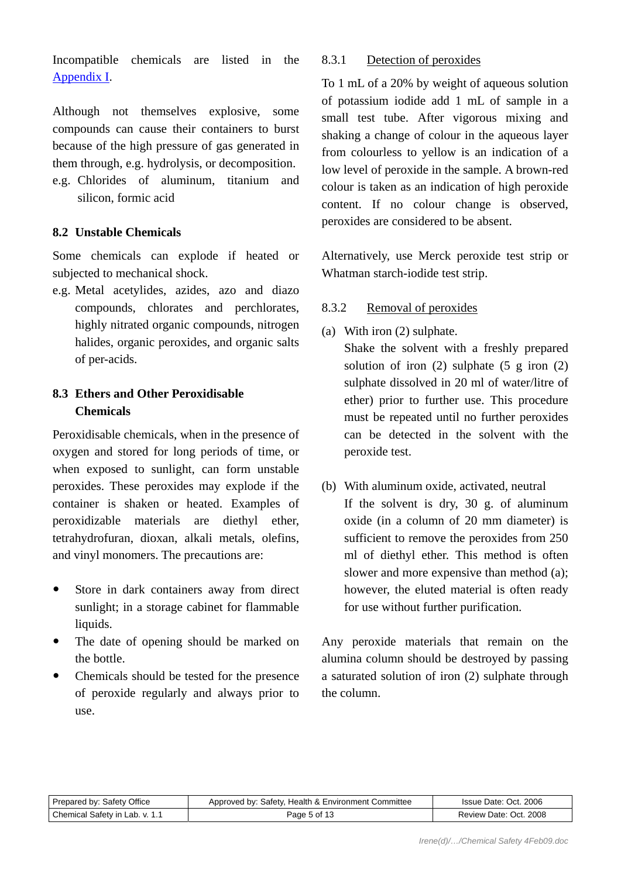Incompatible chemicals are listed in the [Appendix I.](#page-10-0)

Although not themselves explosive, some compounds can cause their containers to burst because of the high pressure of gas generated in them through, e.g. hydrolysis, or decomposition.

e.g. Chlorides of aluminum, titanium and silicon, formic acid

### **8.2 Unstable Chemicals**

Some chemicals can explode if heated or subjected to mechanical shock.

e.g. Metal acetylides, azides, azo and diazo compounds, chlorates and perchlorates, highly nitrated organic compounds, nitrogen halides, organic peroxides, and organic salts of per-acids.

# **8.3 Ethers and Other Peroxidisable Chemicals**

Peroxidisable chemicals, when in the presence of oxygen and stored for long periods of time, or when exposed to sunlight, can form unstable peroxides. These peroxides may explode if the container is shaken or heated. Examples of peroxidizable materials are diethyl ether, tetrahydrofuran, dioxan, alkali metals, olefins, and vinyl monomers. The precautions are:

- Store in dark containers away from direct sunlight; in a storage cabinet for flammable liquids.
- The date of opening should be marked on the bottle.
- Chemicals should be tested for the presence of peroxide regularly and always prior to use.

### 8.3.1 Detection of peroxides

To 1 mL of a 20% by weight of aqueous solution of potassium iodide add 1 mL of sample in a small test tube. After vigorous mixing and shaking a change of colour in the aqueous layer from colourless to yellow is an indication of a low level of peroxide in the sample. A brown-red colour is taken as an indication of high peroxide content. If no colour change is observed, peroxides are considered to be absent.

Alternatively, use Merck peroxide test strip or Whatman starch-iodide test strip.

### 8.3.2 Removal of peroxides

(a) With iron (2) sulphate.

 Shake the solvent with a freshly prepared solution of iron  $(2)$  sulphate  $(5 \text{ g iron } (2)$ sulphate dissolved in 20 ml of water/litre of ether) prior to further use. This procedure must be repeated until no further peroxides can be detected in the solvent with the peroxide test.

(b) With aluminum oxide, activated, neutral If the solvent is dry, 30 g. of aluminum oxide (in a column of 20 mm diameter) is sufficient to remove the peroxides from 250 ml of diethyl ether. This method is often slower and more expensive than method (a); however, the eluted material is often ready for use without further purification.

Any peroxide materials that remain on the alumina column should be destroyed by passing a saturated solution of iron (2) sulphate through the column.

| Prepared by: Safety Office     | Approved by: Safety, Health & Environment Committee | Issue Date: Oct. 2006  |
|--------------------------------|-----------------------------------------------------|------------------------|
| Chemical Safety in Lab. v. 1.1 | Page 5 of 13                                        | Review Date: Oct. 2008 |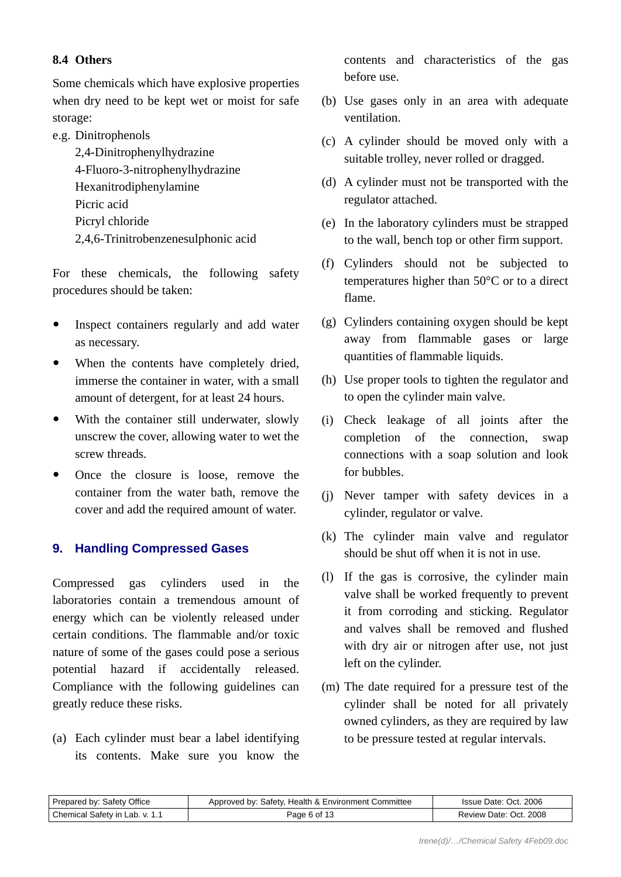### **8.4 Others**

Some chemicals which have explosive properties when dry need to be kept wet or moist for safe storage:

e.g. Dinitrophenols

 2,4-Dinitrophenylhydrazine 4-Fluoro-3-nitrophenylhydrazine Hexanitrodiphenylamine Picric acid Picryl chloride 2,4,6-Trinitrobenzenesulphonic acid

For these chemicals, the following safety procedures should be taken:

- Inspect containers regularly and add water as necessary.
- When the contents have completely dried, immerse the container in water, with a small amount of detergent, for at least 24 hours.
- With the container still underwater, slowly unscrew the cover, allowing water to wet the screw threads.
- Once the closure is loose, remove the container from the water bath, remove the cover and add the required amount of water.

### **9. Handling Compressed Gases**

Compressed gas cylinders used in the laboratories contain a tremendous amount of energy which can be violently released under certain conditions. The flammable and/or toxic nature of some of the gases could pose a serious potential hazard if accidentally released. Compliance with the following guidelines can greatly reduce these risks.

(a) Each cylinder must bear a label identifying its contents. Make sure you know the contents and characteristics of the gas before use.

- (b) Use gases only in an area with adequate ventilation.
- (c) A cylinder should be moved only with a suitable trolley, never rolled or dragged.
- (d) A cylinder must not be transported with the regulator attached.
- (e) In the laboratory cylinders must be strapped to the wall, bench top or other firm support.
- (f) Cylinders should not be subjected to temperatures higher than 50°C or to a direct flame.
- (g) Cylinders containing oxygen should be kept away from flammable gases or large quantities of flammable liquids.
- (h) Use proper tools to tighten the regulator and to open the cylinder main valve.
- (i) Check leakage of all joints after the completion of the connection, swap connections with a soap solution and look for bubbles.
- (j) Never tamper with safety devices in a cylinder, regulator or valve.
- (k) The cylinder main valve and regulator should be shut off when it is not in use.
- (l) If the gas is corrosive, the cylinder main valve shall be worked frequently to prevent it from corroding and sticking. Regulator and valves shall be removed and flushed with dry air or nitrogen after use, not just left on the cylinder.
- (m) The date required for a pressure test of the cylinder shall be noted for all privately owned cylinders, as they are required by law to be pressure tested at regular intervals.

| Prepared by: Safety Office     | Approved by: Safety, Health & Environment Committee | Issue Date: Oct. 2006  |
|--------------------------------|-----------------------------------------------------|------------------------|
| Chemical Safety in Lab. v. 1.1 | Page 6 of 13                                        | Review Date: Oct. 2008 |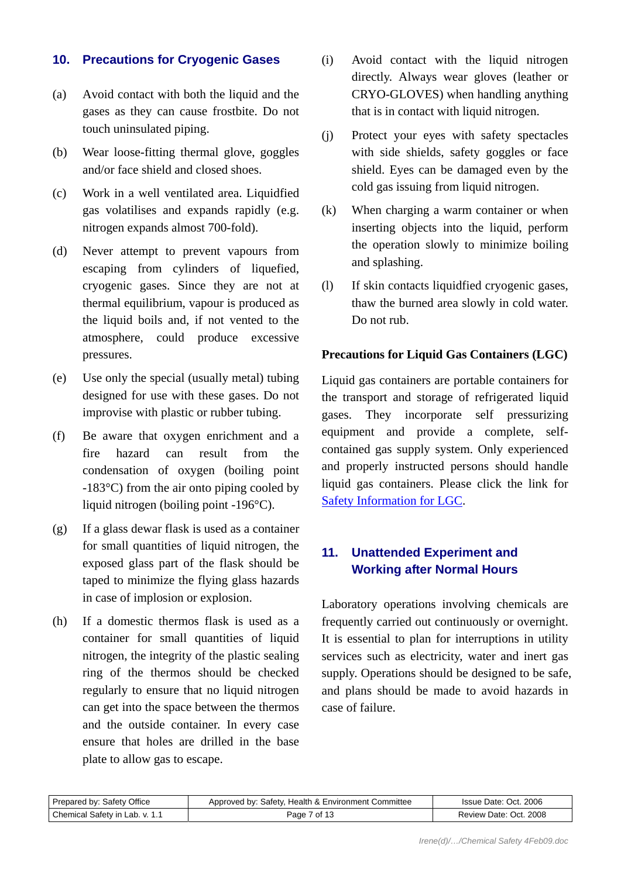### **10. Precautions for Cryogenic Gases**

- (a) Avoid contact with both the liquid and the gases as they can cause frostbite. Do not touch uninsulated piping.
- (b) Wear loose-fitting thermal glove, goggles and/or face shield and closed shoes.
- (c) Work in a well ventilated area. Liquidfied gas volatilises and expands rapidly (e.g. nitrogen expands almost 700-fold).
- (d) Never attempt to prevent vapours from escaping from cylinders of liquefied, cryogenic gases. Since they are not at thermal equilibrium, vapour is produced as the liquid boils and, if not vented to the atmosphere, could produce excessive pressures.
- (e) Use only the special (usually metal) tubing designed for use with these gases. Do not improvise with plastic or rubber tubing.
- (f) Be aware that oxygen enrichment and a fire hazard can result from the condensation of oxygen (boiling point -183°C) from the air onto piping cooled by liquid nitrogen (boiling point -196°C).
- (g) If a glass dewar flask is used as a container for small quantities of liquid nitrogen, the exposed glass part of the flask should be taped to minimize the flying glass hazards in case of implosion or explosion.
- (h) If a domestic thermos flask is used as a container for small quantities of liquid nitrogen, the integrity of the plastic sealing ring of the thermos should be checked regularly to ensure that no liquid nitrogen can get into the space between the thermos and the outside container. In every case ensure that holes are drilled in the base plate to allow gas to escape.
- (i) Avoid contact with the liquid nitrogen directly. Always wear gloves (leather or CRYO-GLOVES) when handling anything that is in contact with liquid nitrogen.
- (j) Protect your eyes with safety spectacles with side shields, safety goggles or face shield. Eyes can be damaged even by the cold gas issuing from liquid nitrogen.
- (k) When charging a warm container or when inserting objects into the liquid, perform the operation slowly to minimize boiling and splashing.
- (l) If skin contacts liquidfied cryogenic gases, thaw the burned area slowly in cold water. Do not rub.

#### **Precautions for Liquid Gas Containers (LGC)**

Liquid gas containers are portable containers for the transport and storage of refrigerated liquid gases. They incorporate self pressurizing equipment and provide a complete, selfcontained gas supply system. Only experienced and properly instructed persons should handle liquid gas containers. Please click the link for [Safety Information for LGC.](http://www.hku.hk/safety/pdf/LGC.pdf)

# **11. Unattended Experiment and Working after Normal Hours**

Laboratory operations involving chemicals are frequently carried out continuously or overnight. It is essential to plan for interruptions in utility services such as electricity, water and inert gas supply. Operations should be designed to be safe, and plans should be made to avoid hazards in case of failure.

| Prepared by: Safety Office     | Approved by: Safety, Health & Environment Committee | Issue Date: Oct. 2006  |
|--------------------------------|-----------------------------------------------------|------------------------|
| Chemical Safety in Lab. v. 1.1 | Page 7 of 13                                        | Review Date: Oct. 2008 |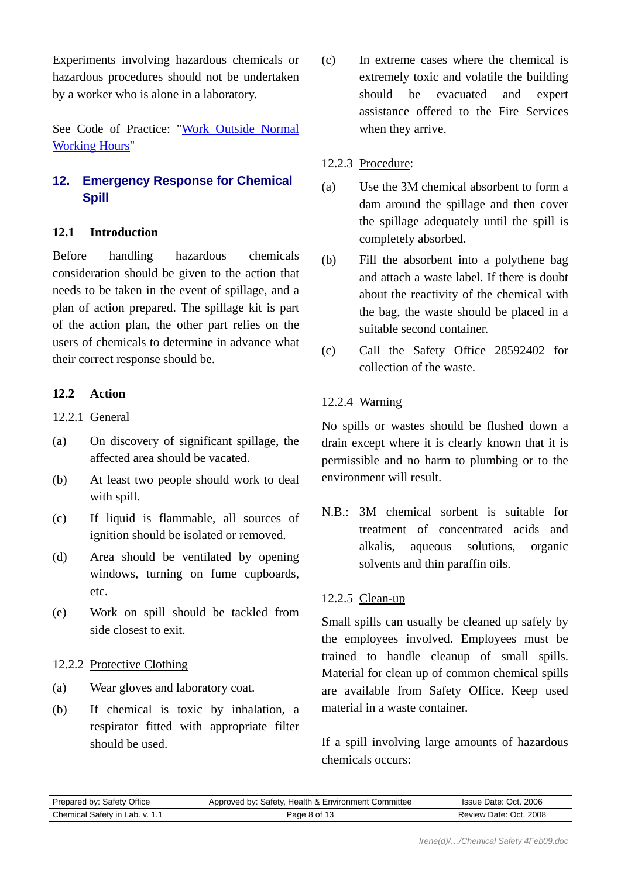Experiments involving hazardous chemicals or hazardous procedures should not be undertaken by a worker who is alone in a laboratory.

See Code of Practice: ["Work Outside Normal](http://www.hku.hk/safety/pdf/WONWH.pdf)  [Working Hours](http://www.hku.hk/safety/pdf/WONWH.pdf)"

# **12. Emergency Response for Chemical Spill**

### **12.1 Introduction**

Before handling hazardous chemicals consideration should be given to the action that needs to be taken in the event of spillage, and a plan of action prepared. The spillage kit is part of the action plan, the other part relies on the users of chemicals to determine in advance what their correct response should be.

### **12.2 Action**

- 12.2.1 General
- (a) On discovery of significant spillage, the affected area should be vacated.
- (b) At least two people should work to deal with spill.
- (c) If liquid is flammable, all sources of ignition should be isolated or removed.
- (d) Area should be ventilated by opening windows, turning on fume cupboards, etc.
- (e) Work on spill should be tackled from side closest to exit.

### 12.2.2 Protective Clothing

- (a) Wear gloves and laboratory coat.
- (b) If chemical is toxic by inhalation, a respirator fitted with appropriate filter should be used.

(c) In extreme cases where the chemical is extremely toxic and volatile the building should be evacuated and expert assistance offered to the Fire Services when they arrive.

#### 12.2.3 Procedure:

- (a) Use the 3M chemical absorbent to form a dam around the spillage and then cover the spillage adequately until the spill is completely absorbed.
- (b) Fill the absorbent into a polythene bag and attach a waste label. If there is doubt about the reactivity of the chemical with the bag, the waste should be placed in a suitable second container.
- (c) Call the Safety Office 28592402 for collection of the waste.

### 12.2.4 Warning

No spills or wastes should be flushed down a drain except where it is clearly known that it is permissible and no harm to plumbing or to the environment will result.

N.B.: 3M chemical sorbent is suitable for treatment of concentrated acids and alkalis, aqueous solutions, organic solvents and thin paraffin oils.

### 12.2.5 Clean-up

Small spills can usually be cleaned up safely by the employees involved. Employees must be trained to handle cleanup of small spills. Material for clean up of common chemical spills are available from Safety Office. Keep used material in a waste container.

If a spill involving large amounts of hazardous chemicals occurs:

| Prepared by: Safety Office     | Approved by: Safety, Health & Environment Committee | Issue Date: Oct. 2006  |
|--------------------------------|-----------------------------------------------------|------------------------|
| Chemical Safety in Lab. v. 1.1 | Page 8 of 13                                        | Review Date: Oct. 2008 |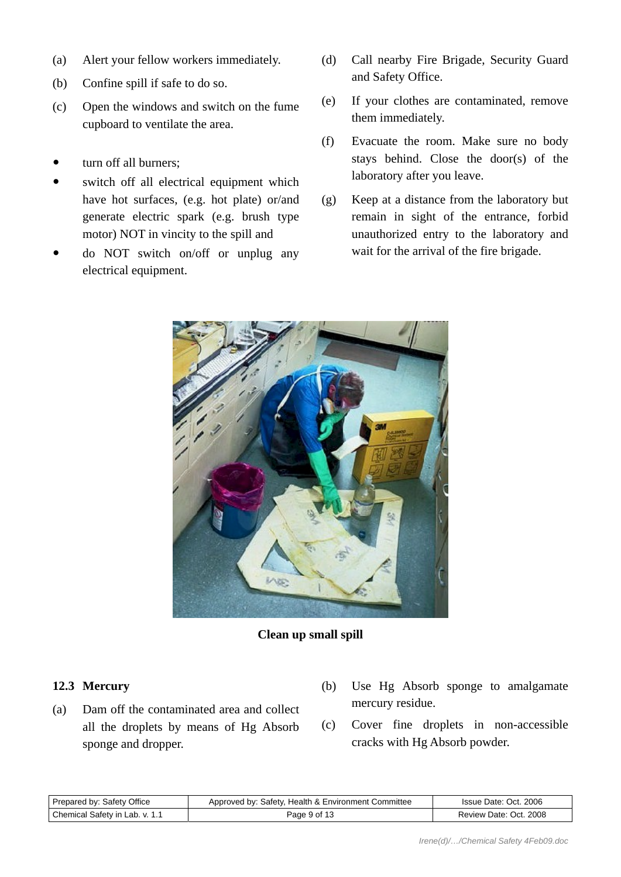- (a) Alert your fellow workers immediately.
- (b) Confine spill if safe to do so.
- (c) Open the windows and switch on the fume cupboard to ventilate the area.
- turn off all burners;
- switch off all electrical equipment which have hot surfaces, (e.g. hot plate) or/and generate electric spark (e.g. brush type motor) NOT in vincity to the spill and
- do NOT switch on/off or unplug any electrical equipment.
- (d) Call nearby Fire Brigade, Security Guard and Safety Office.
- (e) If your clothes are contaminated, remove them immediately.
- (f) Evacuate the room. Make sure no body stays behind. Close the door(s) of the laboratory after you leave.
- (g) Keep at a distance from the laboratory but remain in sight of the entrance, forbid unauthorized entry to the laboratory and wait for the arrival of the fire brigade.



#### **Clean up small spill**

### **12.3 Mercury**

- (a) Dam off the contaminated area and collect all the droplets by means of Hg Absorb sponge and dropper.
- (b) Use Hg Absorb sponge to amalgamate mercury residue.
- (c) Cover fine droplets in non-accessible cracks with Hg Absorb powder.

| Prepared by: Safety Office     | Approved by: Safety, Health & Environment Committee | Issue Date: Oct. 2006  |
|--------------------------------|-----------------------------------------------------|------------------------|
| Chemical Safety in Lab. v. 1.1 | Page 9 of 13                                        | Review Date: Oct. 2008 |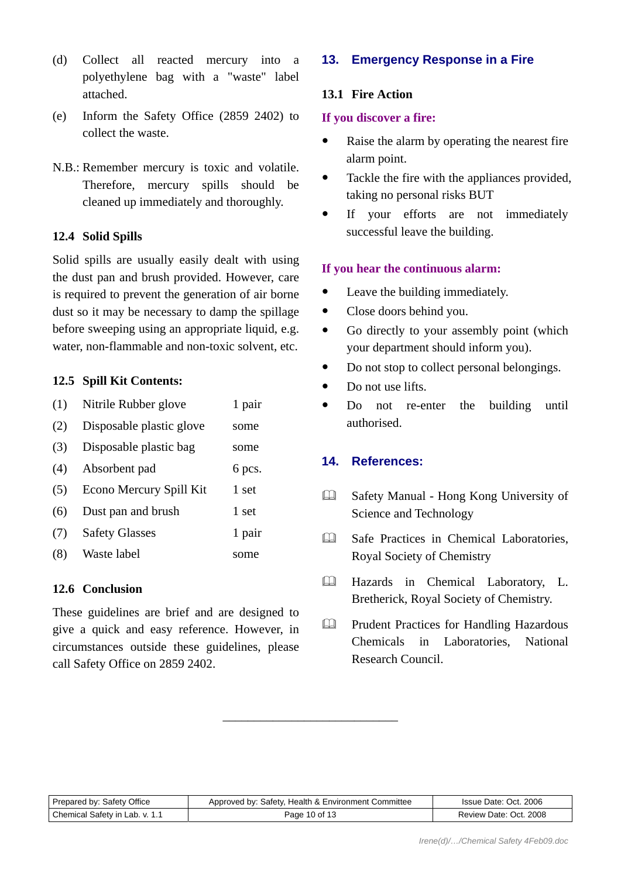- (d) Collect all reacted mercury into a polyethylene bag with a "waste" label attached.
- (e) Inform the Safety Office (2859 2402) to collect the waste.
- N.B.: Remember mercury is toxic and volatile. Therefore, mercury spills should be cleaned up immediately and thoroughly.

### **12.4 Solid Spills**

Solid spills are usually easily dealt with using the dust pan and brush provided. However, care is required to prevent the generation of air borne dust so it may be necessary to damp the spillage before sweeping using an appropriate liquid, e.g. water, non-flammable and non-toxic solvent, etc.

#### **12.5 Spill Kit Contents:**

| (1) | Nitrile Rubber glove     | 1 pair |
|-----|--------------------------|--------|
| (2) | Disposable plastic glove | some   |
| (3) | Disposable plastic bag   | some   |
| (4) | Absorbent pad            | 6 pcs. |
| (5) | Econo Mercury Spill Kit  | 1 set  |
| (6) | Dust pan and brush       | 1 set  |
| (7) | <b>Safety Glasses</b>    | 1 pair |
| (8) | Waste label              | some   |

### **12.6 Conclusion**

These guidelines are brief and are designed to give a quick and easy reference. However, in circumstances outside these guidelines, please call Safety Office on 2859 2402.

# **13. Emergency Response in a Fire**

### **13.1 Fire Action**

#### **If you discover a fire:**

- Raise the alarm by operating the nearest fire alarm point.
- Tackle the fire with the appliances provided, taking no personal risks BUT
- If your efforts are not immediately successful leave the building.

### **If you hear the continuous alarm:**

- Leave the building immediately.
- Close doors behind you.
- Go directly to your assembly point (which your department should inform you).
- Do not stop to collect personal belongings.
- $\bullet$  Do not use lifts.
- Do not re-enter the building until authorised.

### **14. References:**

- Safety Manual Hong Kong University of Science and Technology
- **Ell** Safe Practices in Chemical Laboratories, Royal Society of Chemistry
- Hazards in Chemical Laboratory, L. Bretherick, Royal Society of Chemistry.
- Prudent Practices for Handling Hazardous Chemicals in Laboratories, National Research Council.

| Prepared by: Safety Office     | Approved by: Safety, Health & Environment Committee | Issue Date: Oct. 2006  |
|--------------------------------|-----------------------------------------------------|------------------------|
| Chemical Safety in Lab. v. 1.1 | Page 10 of 13                                       | Review Date: Oct. 2008 |

\_\_\_\_\_\_\_\_\_\_\_\_\_\_\_\_\_\_\_\_\_\_\_\_\_\_\_\_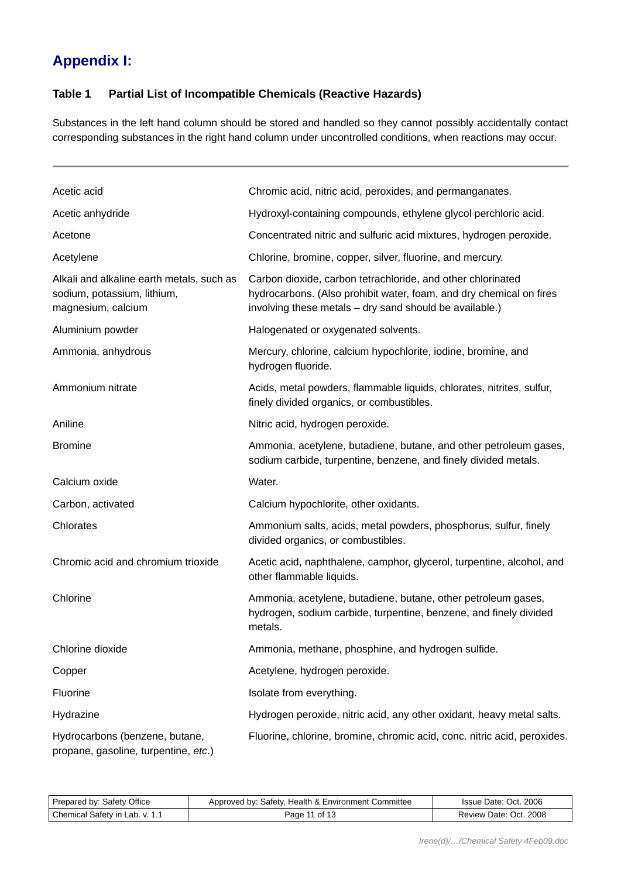# <span id="page-10-0"></span>**Appendix I:**

### **Table 1 Partial List of Incompatible Chemicals (Reactive Hazards)**

Substances in the left hand column should be stored and handled so they cannot possibly accidentally contact corresponding substances in the right hand column under uncontrolled conditions, when reactions may occur.

| Acetic acid                                                                                    | Chromic acid, nitric acid, peroxides, and permanganates.                                                                                                                                      |
|------------------------------------------------------------------------------------------------|-----------------------------------------------------------------------------------------------------------------------------------------------------------------------------------------------|
| Acetic anhydride                                                                               | Hydroxyl-containing compounds, ethylene glycol perchloric acid.                                                                                                                               |
| Acetone                                                                                        | Concentrated nitric and sulfuric acid mixtures, hydrogen peroxide.                                                                                                                            |
| Acetylene                                                                                      | Chlorine, bromine, copper, silver, fluorine, and mercury.                                                                                                                                     |
| Alkali and alkaline earth metals, such as<br>sodium, potassium, lithium,<br>magnesium, calcium | Carbon dioxide, carbon tetrachloride, and other chlorinated<br>hydrocarbons. (Also prohibit water, foam, and dry chemical on fires<br>involving these metals - dry sand should be available.) |
| Aluminium powder                                                                               | Halogenated or oxygenated solvents.                                                                                                                                                           |
| Ammonia, anhydrous                                                                             | Mercury, chlorine, calcium hypochlorite, iodine, bromine, and<br>hydrogen fluoride.                                                                                                           |
| Ammonium nitrate                                                                               | Acids, metal powders, flammable liquids, chlorates, nitrites, sulfur,<br>finely divided organics, or combustibles.                                                                            |
| Aniline                                                                                        | Nitric acid, hydrogen peroxide.                                                                                                                                                               |
| <b>Bromine</b>                                                                                 | Ammonia, acetylene, butadiene, butane, and other petroleum gases,<br>sodium carbide, turpentine, benzene, and finely divided metals.                                                          |
| Calcium oxide                                                                                  | Water.                                                                                                                                                                                        |
| Carbon, activated                                                                              | Calcium hypochlorite, other oxidants.                                                                                                                                                         |
| Chlorates                                                                                      | Ammonium salts, acids, metal powders, phosphorus, sulfur, finely<br>divided organics, or combustibles.                                                                                        |
| Chromic acid and chromium trioxide                                                             | Acetic acid, naphthalene, camphor, glycerol, turpentine, alcohol, and<br>other flammable liquids.                                                                                             |
| Chlorine                                                                                       | Ammonia, acetylene, butadiene, butane, other petroleum gases,<br>hydrogen, sodium carbide, turpentine, benzene, and finely divided<br>metals.                                                 |
| Chlorine dioxide                                                                               | Ammonia, methane, phosphine, and hydrogen sulfide.                                                                                                                                            |
| Copper                                                                                         | Acetylene, hydrogen peroxide.                                                                                                                                                                 |
| Fluorine                                                                                       | Isolate from everything.                                                                                                                                                                      |
| Hydrazine                                                                                      | Hydrogen peroxide, nitric acid, any other oxidant, heavy metal salts.                                                                                                                         |
| Hydrocarbons (benzene, butane,<br>propane, gasoline, turpentine, etc.)                         | Fluorine, chlorine, bromine, chromic acid, conc. nitric acid, peroxides.                                                                                                                      |

| Prepared by: Safety Office     | Approved by: Safety, Health & Environment Committee | Issue Date: Oct. 2006  |
|--------------------------------|-----------------------------------------------------|------------------------|
| Chemical Safety in Lab. v. 1.1 | Page 11 of 13                                       | Review Date: Oct. 2008 |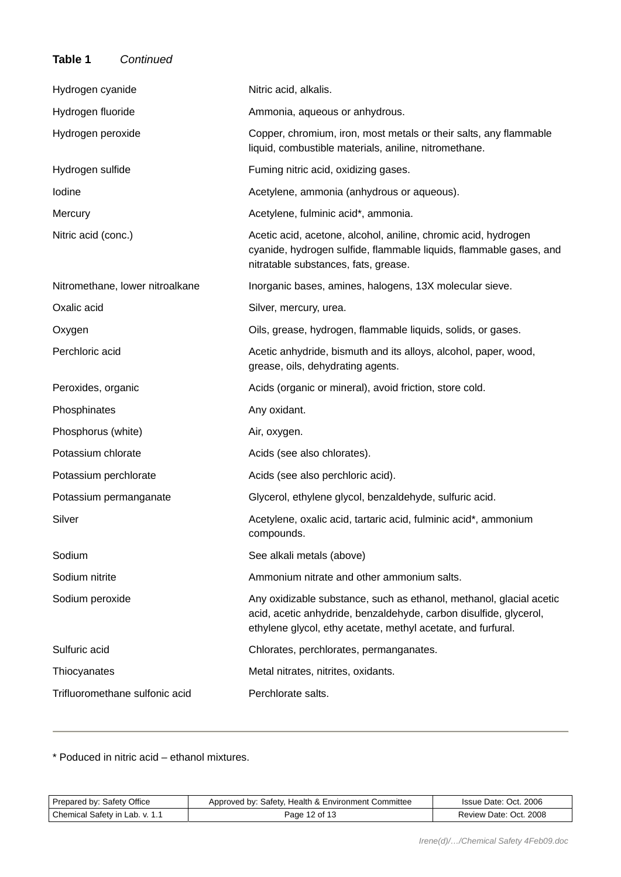### **Table 1** *Continued*

| Hydrogen cyanide                | Nitric acid, alkalis.                                                                                                                                                                                    |
|---------------------------------|----------------------------------------------------------------------------------------------------------------------------------------------------------------------------------------------------------|
| Hydrogen fluoride               | Ammonia, aqueous or anhydrous.                                                                                                                                                                           |
| Hydrogen peroxide               | Copper, chromium, iron, most metals or their salts, any flammable<br>liquid, combustible materials, aniline, nitromethane.                                                                               |
| Hydrogen sulfide                | Fuming nitric acid, oxidizing gases.                                                                                                                                                                     |
| lodine                          | Acetylene, ammonia (anhydrous or aqueous).                                                                                                                                                               |
| Mercury                         | Acetylene, fulminic acid*, ammonia.                                                                                                                                                                      |
| Nitric acid (conc.)             | Acetic acid, acetone, alcohol, aniline, chromic acid, hydrogen<br>cyanide, hydrogen sulfide, flammable liquids, flammable gases, and<br>nitratable substances, fats, grease.                             |
| Nitromethane, lower nitroalkane | Inorganic bases, amines, halogens, 13X molecular sieve.                                                                                                                                                  |
| Oxalic acid                     | Silver, mercury, urea.                                                                                                                                                                                   |
| Oxygen                          | Oils, grease, hydrogen, flammable liquids, solids, or gases.                                                                                                                                             |
| Perchloric acid                 | Acetic anhydride, bismuth and its alloys, alcohol, paper, wood,<br>grease, oils, dehydrating agents.                                                                                                     |
| Peroxides, organic              | Acids (organic or mineral), avoid friction, store cold.                                                                                                                                                  |
| Phosphinates                    | Any oxidant.                                                                                                                                                                                             |
| Phosphorus (white)              | Air, oxygen.                                                                                                                                                                                             |
| Potassium chlorate              | Acids (see also chlorates).                                                                                                                                                                              |
| Potassium perchlorate           | Acids (see also perchloric acid).                                                                                                                                                                        |
| Potassium permanganate          | Glycerol, ethylene glycol, benzaldehyde, sulfuric acid.                                                                                                                                                  |
| Silver                          | Acetylene, oxalic acid, tartaric acid, fulminic acid*, ammonium<br>compounds.                                                                                                                            |
| Sodium                          | See alkali metals (above)                                                                                                                                                                                |
| Sodium nitrite                  | Ammonium nitrate and other ammonium salts.                                                                                                                                                               |
| Sodium peroxide                 | Any oxidizable substance, such as ethanol, methanol, glacial acetic<br>acid, acetic anhydride, benzaldehyde, carbon disulfide, glycerol,<br>ethylene glycol, ethy acetate, methyl acetate, and furfural. |
| Sulfuric acid                   | Chlorates, perchlorates, permanganates.                                                                                                                                                                  |
| Thiocyanates                    | Metal nitrates, nitrites, oxidants.                                                                                                                                                                      |
| Trifluoromethane sulfonic acid  | Perchlorate salts.                                                                                                                                                                                       |

\* Poduced in nitric acid – ethanol mixtures.

| Prepared by: Safety Office     | Approved by: Safety, Health & Environment Committee | Issue Date: Oct. 2006  |
|--------------------------------|-----------------------------------------------------|------------------------|
| Chemical Safety in Lab. v. 1.1 | Page 12 of 13                                       | Review Date: Oct. 2008 |